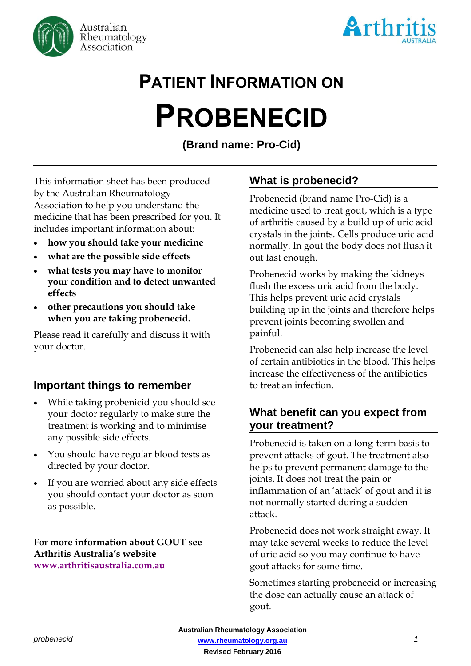



# **PATIENT INFORMATION ON**

# **PROBENECID**

**(Brand name: Pro-Cid)**

This information sheet has been produced by the Australian Rheumatology Association to help you understand the medicine that has been prescribed for you. It includes important information about:

- **how you should take your medicine**
- **what are the possible side effects**
- **what tests you may have to monitor your condition and to detect unwanted effects**
- **other precautions you should take when you are taking probenecid.**

Please read it carefully and discuss it with your doctor.

# **Important things to remember**

- While taking probenicid you should see your doctor regularly to make sure the treatment is working and to minimise any possible side effects.
- You should have regular blood tests as directed by your doctor.
- If you are worried about any side effects you should contact your doctor as soon as possible.

**For more information about GOUT see Arthritis Australia's website [www.arthritisaustralia.com.au](http://www.arthritisaustralia.com.au/index.php/arthritis-information/information-sheets.html)**

# **What is probenecid?**

Probenecid (brand name Pro-Cid) is a medicine used to treat gout, which is a type of arthritis caused by a build up of uric acid crystals in the joints. Cells produce uric acid normally. In gout the body does not flush it out fast enough.

Probenecid works by making the kidneys flush the excess uric acid from the body. This helps prevent uric acid crystals building up in the joints and therefore helps prevent joints becoming swollen and painful.

Probenecid can also help increase the level of certain antibiotics in the blood. This helps increase the effectiveness of the antibiotics to treat an infection.

# **What benefit can you expect from your treatment?**

Probenecid is taken on a long-term basis to prevent attacks of gout. The treatment also helps to prevent permanent damage to the joints. It does not treat the pain or inflammation of an 'attack' of gout and it is not normally started during a sudden attack.

Probenecid does not work straight away. It may take several weeks to reduce the level of uric acid so you may continue to have gout attacks for some time.

Sometimes starting probenecid or increasing the dose can actually cause an attack of gout.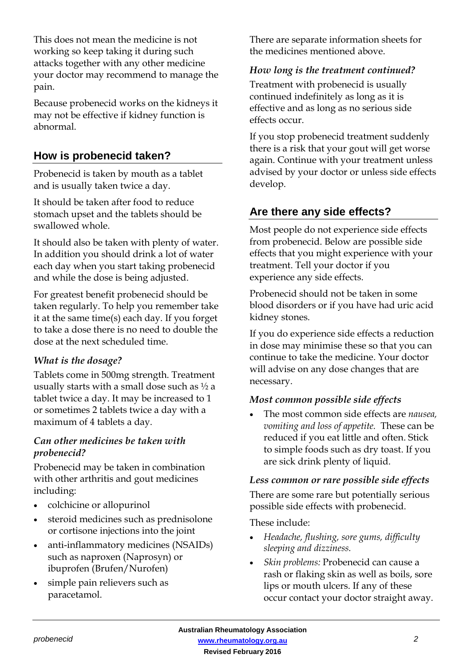This does not mean the medicine is not working so keep taking it during such attacks together with any other medicine your doctor may recommend to manage the pain.

Because probenecid works on the kidneys it may not be effective if kidney function is abnormal.

# **How is probenecid taken?**

Probenecid is taken by mouth as a tablet and is usually taken twice a day.

It should be taken after food to reduce stomach upset and the tablets should be swallowed whole.

It should also be taken with plenty of water. In addition you should drink a lot of water each day when you start taking probenecid and while the dose is being adjusted.

For greatest benefit probenecid should be taken regularly. To help you remember take it at the same time(s) each day. If you forget to take a dose there is no need to double the dose at the next scheduled time.

#### *What is the dosage?*

Tablets come in 500mg strength. Treatment usually starts with a small dose such as  $\frac{1}{2}$  a tablet twice a day. It may be increased to 1 or sometimes 2 tablets twice a day with a maximum of 4 tablets a day.

#### *Can other medicines be taken with probenecid?*

Probenecid may be taken in combination with other arthritis and gout medicines including:

- colchicine or allopurinol
- steroid medicines such as prednisolone or cortisone injections into the joint
- anti-inflammatory medicines (NSAIDs) such as naproxen (Naprosyn) or ibuprofen (Brufen/Nurofen)
- simple pain relievers such as paracetamol.

There are separate information sheets for the medicines mentioned above.

#### *How long is the treatment continued?*

Treatment with probenecid is usually continued indefinitely as long as it is effective and as long as no serious side effects occur.

If you stop probenecid treatment suddenly there is a risk that your gout will get worse again. Continue with your treatment unless advised by your doctor or unless side effects develop.

# **Are there any side effects?**

Most people do not experience side effects from probenecid. Below are possible side effects that you might experience with your treatment. Tell your doctor if you experience any side effects.

Probenecid should not be taken in some blood disorders or if you have had uric acid kidney stones.

If you do experience side effects a reduction in dose may minimise these so that you can continue to take the medicine. Your doctor will advise on any dose changes that are necessary.

#### *Most common possible side effects*

 The most common side effects are *nausea, vomiting and loss of appetite.* These can be reduced if you eat little and often. Stick to simple foods such as dry toast. If you are sick drink plenty of liquid.

#### *Less common or rare possible side effects*

There are some rare but potentially serious possible side effects with probenecid.

These include:

- *Headache, flushing, sore gums, difficulty sleeping and dizziness.*
- *Skin problems:* Probenecid can cause a rash or flaking skin as well as boils, sore lips or mouth ulcers. If any of these occur contact your doctor straight away.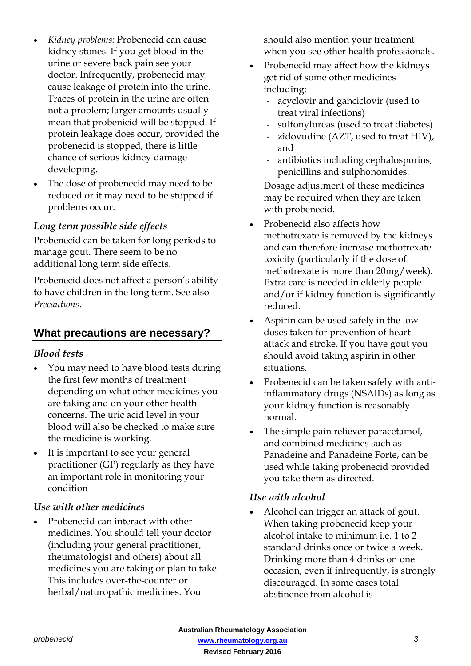- *Kidney problems:* Probenecid can cause kidney stones. If you get blood in the urine or severe back pain see your doctor. Infrequently, probenecid may cause leakage of protein into the urine. Traces of protein in the urine are often not a problem; larger amounts usually mean that probenicid will be stopped. If protein leakage does occur, provided the probenecid is stopped, there is little chance of serious kidney damage developing.
- The dose of probenecid may need to be reduced or it may need to be stopped if problems occur.

#### *Long term possible side effects*

Probenecid can be taken for long periods to manage gout. There seem to be no additional long term side effects.

Probenecid does not affect a person's ability to have children in the long term. See also *Precautions*.

# **What precautions are necessary?**

#### *Blood tests*

- You may need to have blood tests during the first few months of treatment depending on what other medicines you are taking and on your other health concerns. The uric acid level in your blood will also be checked to make sure the medicine is working.
- It is important to see your general practitioner (GP) regularly as they have an important role in monitoring your condition

#### *Use with other medicines*

 Probenecid can interact with other medicines. You should tell your doctor (including your general practitioner, rheumatologist and others) about all medicines you are taking or plan to take. This includes over-the-counter or herbal/naturopathic medicines. You

should also mention your treatment when you see other health professionals.

- Probenecid may affect how the kidneys get rid of some other medicines including:
	- acyclovir and ganciclovir (used to treat viral infections)
	- sulfonylureas (used to treat diabetes)
	- zidovudine (AZT, used to treat HIV), and
	- antibiotics including cephalosporins, penicillins and sulphonomides.

Dosage adjustment of these medicines may be required when they are taken with probenecid.

- Probenecid also affects how methotrexate is removed by the kidneys and can therefore increase methotrexate toxicity (particularly if the dose of methotrexate is more than 20mg/week). Extra care is needed in elderly people and/or if kidney function is significantly reduced.
- Aspirin can be used safely in the low doses taken for prevention of heart attack and stroke. If you have gout you should avoid taking aspirin in other situations.
- Probenecid can be taken safely with antiinflammatory drugs (NSAIDs) as long as your kidney function is reasonably normal.
- The simple pain reliever paracetamol, and combined medicines such as Panadeine and Panadeine Forte, can be used while taking probenecid provided you take them as directed.

#### *Use with alcohol*

 Alcohol can trigger an attack of gout. When taking probenecid keep your alcohol intake to minimum i.e. 1 to 2 standard drinks once or twice a week. Drinking more than 4 drinks on one occasion, even if infrequently, is strongly discouraged. In some cases total abstinence from alcohol is